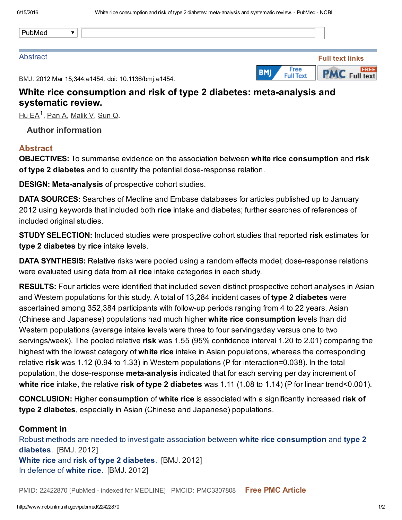PubMed $\overline{\mathbf{v}}$ 

#### **Abstract**



BMJ. 2012 Mar 15;344:e1454. doi: 10.1136/bmj.e1454.

## White rice consumption and risk of type 2 diabetes: meta-analysis and systematic review.

<u>Hu [EA](http://www.ncbi.nlm.nih.gov/pubmed/?term=Hu%20EA%5BAuthor%5D&cauthor=true&cauthor_uid=22422870)<sup>1</sup>, [Pan](http://www.ncbi.nlm.nih.gov/pubmed/?term=Pan%20A%5BAuthor%5D&cauthor=true&cauthor_uid=22422870) A, [Malik](http://www.ncbi.nlm.nih.gov/pubmed/?term=Malik%20V%5BAuthor%5D&cauthor=true&cauthor_uid=22422870) V, [Sun](http://www.ncbi.nlm.nih.gov/pubmed/?term=Sun%20Q%5BAuthor%5D&cauthor=true&cauthor_uid=22422870) Q</u>.

Author information

### **Abstract**

OBJECTIVES: To summarise evidence on the association between white rice consumption and risk of type 2 diabetes and to quantify the potential dose-response relation.

DESIGN: Meta-analysis of prospective cohort studies.

DATA SOURCES: Searches of Medline and Embase databases for articles published up to January 2012 using keywords that included both rice intake and diabetes; further searches of references of included original studies.

STUDY SELECTION: Included studies were prospective cohort studies that reported risk estimates for type 2 diabetes by rice intake levels.

DATA SYNTHESIS: Relative risks were pooled using a random effects model; dose-response relations were evaluated using data from all rice intake categories in each study.

RESULTS: Four articles were identified that included seven distinct prospective cohort analyses in Asian and Western populations for this study. A total of 13,284 incident cases of type 2 diabetes were ascertained among 352,384 participants with followup periods ranging from 4 to 22 years. Asian (Chinese and Japanese) populations had much higher white rice consumption levels than did Western populations (average intake levels were three to four servings/day versus one to two servings/week). The pooled relative risk was 1.55 (95% confidence interval 1.20 to 2.01) comparing the highest with the lowest category of **white rice** intake in Asian populations, whereas the corresponding relative risk was 1.12 (0.94 to 1.33) in Western populations (P for interaction=0.038). In the total population, the dose-response **meta-analysis** indicated that for each serving per day increment of white rice intake, the relative risk of type 2 diabetes was 1.11 (1.08 to 1.14) (P for linear trend<0.001).

CONCLUSION: Higher consumption of white rice is associated with a significantly increased risk of type 2 diabetes, especially in Asian (Chinese and Japanese) populations.

### Comment in

Robust methods are needed to investigate association between white rice [consumption](http://www.ncbi.nlm.nih.gov/pubmed/22549067) and type 2 diabetes. [BMJ. 2012] White rice and risk of type 2 [diabetes.](http://www.ncbi.nlm.nih.gov/pubmed/22422873) [BMJ. 2012] In [defence](http://www.ncbi.nlm.nih.gov/pubmed/22549069) of white rice. [BMJ. 2012]

PMID: 22422870 [PubMed - indexed for MEDLINE] PMCID: PMC3307808 Free PMC [Article](http://www.ncbi.nlm.nih.gov/pmc/articles/PMC3307808/)